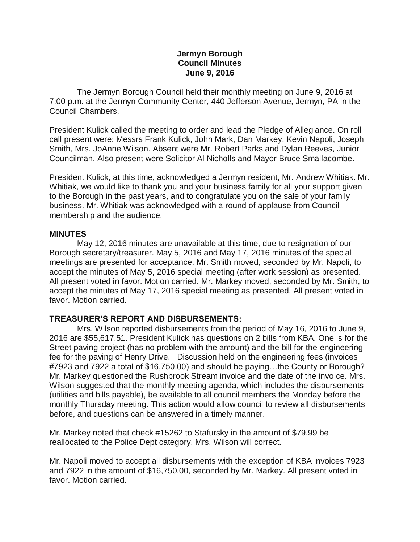### **Jermyn Borough Council Minutes June 9, 2016**

 The Jermyn Borough Council held their monthly meeting on June 9, 2016 at 7:00 p.m. at the Jermyn Community Center, 440 Jefferson Avenue, Jermyn, PA in the Council Chambers.

President Kulick called the meeting to order and lead the Pledge of Allegiance. On roll call present were: Messrs Frank Kulick, John Mark, Dan Markey, Kevin Napoli, Joseph Smith, Mrs. JoAnne Wilson. Absent were Mr. Robert Parks and Dylan Reeves, Junior Councilman. Also present were Solicitor Al Nicholls and Mayor Bruce Smallacombe.

President Kulick, at this time, acknowledged a Jermyn resident, Mr. Andrew Whitiak. Mr. Whitiak, we would like to thank you and your business family for all your support given to the Borough in the past years, and to congratulate you on the sale of your family business. Mr. Whitiak was acknowledged with a round of applause from Council membership and the audience.

#### **MINUTES**

May 12, 2016 minutes are unavailable at this time, due to resignation of our Borough secretary/treasurer. May 5, 2016 and May 17, 2016 minutes of the special meetings are presented for acceptance. Mr. Smith moved, seconded by Mr. Napoli, to accept the minutes of May 5, 2016 special meeting (after work session) as presented. All present voted in favor. Motion carried. Mr. Markey moved, seconded by Mr. Smith, to accept the minutes of May 17, 2016 special meeting as presented. All present voted in favor. Motion carried.

### **TREASURER'S REPORT AND DISBURSEMENTS:**

Mrs. Wilson reported disbursements from the period of May 16, 2016 to June 9, 2016 are \$55,617.51. President Kulick has questions on 2 bills from KBA. One is for the Street paving project (has no problem with the amount) and the bill for the engineering fee for the paving of Henry Drive. Discussion held on the engineering fees (invoices #7923 and 7922 a total of \$16,750.00) and should be paying…the County or Borough? Mr. Markey questioned the Rushbrook Stream invoice and the date of the invoice. Mrs. Wilson suggested that the monthly meeting agenda, which includes the disbursements (utilities and bills payable), be available to all council members the Monday before the monthly Thursday meeting. This action would allow council to review all disbursements before, and questions can be answered in a timely manner.

Mr. Markey noted that check #15262 to Stafursky in the amount of \$79.99 be reallocated to the Police Dept category. Mrs. Wilson will correct.

Mr. Napoli moved to accept all disbursements with the exception of KBA invoices 7923 and 7922 in the amount of \$16,750.00, seconded by Mr. Markey. All present voted in favor. Motion carried.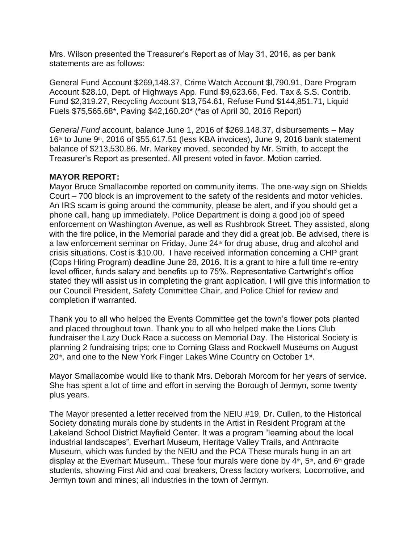Mrs. Wilson presented the Treasurer's Report as of May 31, 2016, as per bank statements are as follows:

General Fund Account \$269,148.37, Crime Watch Account \$l,790.91, Dare Program Account \$28.10, Dept. of Highways App. Fund \$9,623.66, Fed. Tax & S.S. Contrib. Fund \$2,319.27, Recycling Account \$13,754.61, Refuse Fund \$144,851.71, Liquid Fuels \$75,565.68\*, Paving \$42,160.20\* (\*as of April 30, 2016 Report)

*General Fund* account, balance June 1, 2016 of \$269.148.37, disbursements – May  $16<sup>th</sup>$  to June 9<sup>th</sup>, 2016 of \$55,617.51 (less KBA invoices), June 9, 2016 bank statement balance of \$213,530.86. Mr. Markey moved, seconded by Mr. Smith, to accept the Treasurer's Report as presented. All present voted in favor. Motion carried.

### **MAYOR REPORT:**

Mayor Bruce Smallacombe reported on community items. The one-way sign on Shields Court – 700 block is an improvement to the safety of the residents and motor vehicles. An IRS scam is going around the community, please be alert, and if you should get a phone call, hang up immediately. Police Department is doing a good job of speed enforcement on Washington Avenue, as well as Rushbrook Street. They assisted, along with the fire police, in the Memorial parade and they did a great job. Be advised, there is a law enforcement seminar on Friday, June 24<sup>th</sup> for drug abuse, drug and alcohol and crisis situations. Cost is \$10.00. I have received information concerning a CHP grant (Cops Hiring Program) deadline June 28, 2016. It is a grant to hire a full time re-entry level officer, funds salary and benefits up to 75%. Representative Cartwright's office stated they will assist us in completing the grant application. I will give this information to our Council President, Safety Committee Chair, and Police Chief for review and completion if warranted.

Thank you to all who helped the Events Committee get the town's flower pots planted and placed throughout town. Thank you to all who helped make the Lions Club fundraiser the Lazy Duck Race a success on Memorial Day. The Historical Society is planning 2 fundraising trips; one to Corning Glass and Rockwell Museums on August 20<sup>th</sup>, and one to the New York Finger Lakes Wine Country on October 1<sup>st</sup>.

Mayor Smallacombe would like to thank Mrs. Deborah Morcom for her years of service. She has spent a lot of time and effort in serving the Borough of Jermyn, some twenty plus years.

The Mayor presented a letter received from the NEIU #19, Dr. Cullen, to the Historical Society donating murals done by students in the Artist in Resident Program at the Lakeland School District Mayfield Center. It was a program "learning about the local industrial landscapes", Everhart Museum, Heritage Valley Trails, and Anthracite Museum, which was funded by the NEIU and the PCA These murals hung in an art display at the Everhart Museum.. These four murals were done by  $4<sup>th</sup>$ , 5<sup>th</sup>, and  $6<sup>th</sup>$  grade students, showing First Aid and coal breakers, Dress factory workers, Locomotive, and Jermyn town and mines; all industries in the town of Jermyn.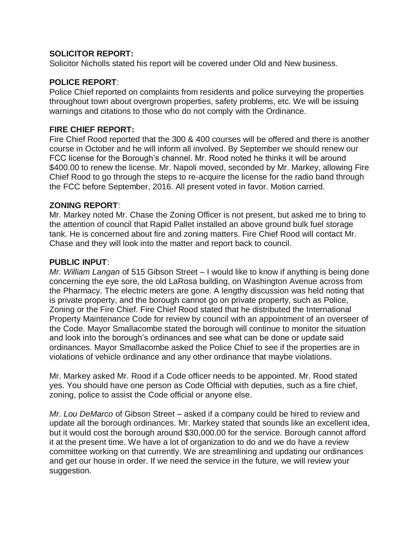## **SOLICITOR REPORT:**

Solicitor Nicholls stated his report will be covered under Old and New business.

### **POLICE REPORT**:

Police Chief reported on complaints from residents and police surveying the properties throughout town about overgrown properties, safety problems, etc. We will be issuing warnings and citations to those who do not comply with the Ordinance.

### **FIRE CHIEF REPORT:**

Fire Chief Rood reported that the 300 & 400 courses will be offered and there is another course in October and he will inform all involved. By September we should renew our FCC license for the Borough's channel. Mr. Rood noted he thinks it will be around \$400.00 to renew the license. Mr. Napoli moved, seconded by Mr. Markey, allowing Fire Chief Rood to go through the steps to re-acquire the license for the radio band through the FCC before September, 2016. All present voted in favor. Motion carried.

#### **ZONING REPORT**:

Mr. Markey noted Mr. Chase the Zoning Officer is not present, but asked me to bring to the attention of council that Rapid Pallet installed an above ground bulk fuel storage tank. He is concerned about fire and zoning matters. Fire Chief Rood will contact Mr. Chase and they will look into the matter and report back to council.

#### **PUBLIC INPUT**:

*Mr. William Langan* of 515 Gibson Street – I would like to know if anything is being done concerning the eye sore, the old LaRosa building, on Washington Avenue across from the Pharmacy. The electric meters are gone. A lengthy discussion was held noting that is private property, and the borough cannot go on private property, such as Police, Zoning or the Fire Chief. Fire Chief Rood stated that he distributed the International Property Maintenance Code for review by council with an appointment of an overseer of the Code. Mayor Smallacombe stated the borough will continue to monitor the situation and look into the borough's ordinances and see what can be done or update said ordinances. Mayor Smallacombe asked the Police Chief to see if the properties are in violations of vehicle ordinance and any other ordinance that maybe violations.

Mr. Markey asked Mr. Rood if a Code officer needs to be appointed. Mr. Rood stated yes. You should have one person as Code Official with deputies, such as a fire chief, zoning, police to assist the Code official or anyone else.

*Mr. Lou DeMarco* of Gibson Street – asked if a company could be hired to review and update all the borough ordinances. Mr. Markey stated that sounds like an excellent idea, but it would cost the borough around \$30,000.00 for the service. Borough cannot afford it at the present time. We have a lot of organization to do and we do have a review committee working on that currently. We are streamlining and updating our ordinances and get our house in order. If we need the service in the future, we will review your suggestion.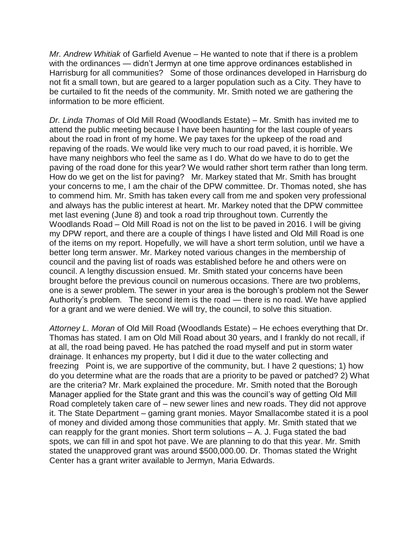*Mr. Andrew Whitiak* of Garfield Avenue – He wanted to note that if there is a problem with the ordinances — didn't Jermyn at one time approve ordinances established in Harrisburg for all communities? Some of those ordinances developed in Harrisburg do not fit a small town, but are geared to a larger population such as a City. They have to be curtailed to fit the needs of the community. Mr. Smith noted we are gathering the information to be more efficient.

*Dr. Linda Thomas* of Old Mill Road (Woodlands Estate) – Mr. Smith has invited me to attend the public meeting because I have been haunting for the last couple of years about the road in front of my home. We pay taxes for the upkeep of the road and repaving of the roads. We would like very much to our road paved, it is horrible. We have many neighbors who feel the same as I do. What do we have to do to get the paving of the road done for this year? We would rather short term rather than long term. How do we get on the list for paving? Mr. Markey stated that Mr. Smith has brought your concerns to me, I am the chair of the DPW committee. Dr. Thomas noted, she has to commend him. Mr. Smith has taken every call from me and spoken very professional and always has the public interest at heart. Mr. Markey noted that the DPW committee met last evening (June 8) and took a road trip throughout town. Currently the Woodlands Road – Old Mill Road is not on the list to be paved in 2016. I will be giving my DPW report, and there are a couple of things I have listed and Old Mill Road is one of the items on my report. Hopefully, we will have a short term solution, until we have a better long term answer. Mr. Markey noted various changes in the membership of council and the paving list of roads was established before he and others were on council. A lengthy discussion ensued. Mr. Smith stated your concerns have been brought before the previous council on numerous occasions. There are two problems, one is a sewer problem. The sewer in your area is the borough's problem not the Sewer Authority's problem. The second item is the road — there is no road. We have applied for a grant and we were denied. We will try, the council, to solve this situation.

*Attorney L. Moran* of Old Mill Road (Woodlands Estate) – He echoes everything that Dr. Thomas has stated. I am on Old Mill Road about 30 years, and I frankly do not recall, if at all, the road being paved. He has patched the road myself and put in storm water drainage. It enhances my property, but I did it due to the water collecting and freezing Point is, we are supportive of the community, but. I have 2 questions; 1) how do you determine what are the roads that are a priority to be paved or patched? 2) What are the criteria? Mr. Mark explained the procedure. Mr. Smith noted that the Borough Manager applied for the State grant and this was the council's way of getting Old Mill Road completely taken care of – new sewer lines and new roads. They did not approve it. The State Department – gaming grant monies. Mayor Smallacombe stated it is a pool of money and divided among those communities that apply. Mr. Smith stated that we can reapply for the grant monies. Short term solutions – A. J. Fuga stated the bad spots, we can fill in and spot hot pave. We are planning to do that this year. Mr. Smith stated the unapproved grant was around \$500,000.00. Dr. Thomas stated the Wright Center has a grant writer available to Jermyn, Maria Edwards.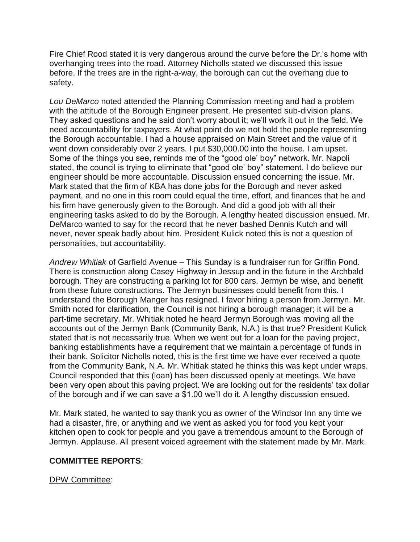Fire Chief Rood stated it is very dangerous around the curve before the Dr.'s home with overhanging trees into the road. Attorney Nicholls stated we discussed this issue before. If the trees are in the right-a-way, the borough can cut the overhang due to safety.

*Lou DeMarco* noted attended the Planning Commission meeting and had a problem with the attitude of the Borough Engineer present. He presented sub-division plans. They asked questions and he said don't worry about it; we'll work it out in the field. We need accountability for taxpayers. At what point do we not hold the people representing the Borough accountable. I had a house appraised on Main Street and the value of it went down considerably over 2 years. I put \$30,000.00 into the house. I am upset. Some of the things you see, reminds me of the "good ole' boy" network. Mr. Napoli stated, the council is trying to eliminate that "good ole' boy" statement. I do believe our engineer should be more accountable. Discussion ensued concerning the issue. Mr. Mark stated that the firm of KBA has done jobs for the Borough and never asked payment, and no one in this room could equal the time, effort, and finances that he and his firm have generously given to the Borough. And did a good job with all their engineering tasks asked to do by the Borough. A lengthy heated discussion ensued. Mr. DeMarco wanted to say for the record that he never bashed Dennis Kutch and will never, never speak badly about him. President Kulick noted this is not a question of personalities, but accountability.

*Andrew Whitiak* of Garfield Avenue – This Sunday is a fundraiser run for Griffin Pond. There is construction along Casey Highway in Jessup and in the future in the Archbald borough. They are constructing a parking lot for 800 cars. Jermyn be wise, and benefit from these future constructions. The Jermyn businesses could benefit from this. I understand the Borough Manger has resigned. I favor hiring a person from Jermyn. Mr. Smith noted for clarification, the Council is not hiring a borough manager; it will be a part-time secretary. Mr. Whitiak noted he heard Jermyn Borough was moving all the accounts out of the Jermyn Bank (Community Bank, N.A.) is that true? President Kulick stated that is not necessarily true. When we went out for a loan for the paving project, banking establishments have a requirement that we maintain a percentage of funds in their bank. Solicitor Nicholls noted, this is the first time we have ever received a quote from the Community Bank, N.A. Mr. Whitiak stated he thinks this was kept under wraps. Council responded that this (loan) has been discussed openly at meetings. We have been very open about this paving project. We are looking out for the residents' tax dollar of the borough and if we can save a \$1.00 we'll do it. A lengthy discussion ensued.

Mr. Mark stated, he wanted to say thank you as owner of the Windsor Inn any time we had a disaster, fire, or anything and we went as asked you for food you kept your kitchen open to cook for people and you gave a tremendous amount to the Borough of Jermyn. Applause. All present voiced agreement with the statement made by Mr. Mark.

### **COMMITTEE REPORTS**:

### DPW Committee: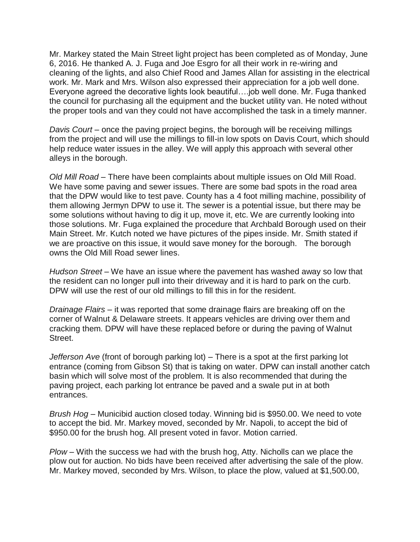Mr. Markey stated the Main Street light project has been completed as of Monday, June 6, 2016. He thanked A. J. Fuga and Joe Esgro for all their work in re-wiring and cleaning of the lights, and also Chief Rood and James Allan for assisting in the electrical work. Mr. Mark and Mrs. Wilson also expressed their appreciation for a job well done. Everyone agreed the decorative lights look beautiful….job well done. Mr. Fuga thanked the council for purchasing all the equipment and the bucket utility van. He noted without the proper tools and van they could not have accomplished the task in a timely manner.

*Davis Court* – once the paving project begins, the borough will be receiving millings from the project and will use the millings to fill-in low spots on Davis Court, which should help reduce water issues in the alley. We will apply this approach with several other alleys in the borough.

*Old Mill Road –* There have been complaints about multiple issues on Old Mill Road. We have some paving and sewer issues. There are some bad spots in the road area that the DPW would like to test pave. County has a 4 foot milling machine, possibility of them allowing Jermyn DPW to use it. The sewer is a potential issue, but there may be some solutions without having to dig it up, move it, etc. We are currently looking into those solutions. Mr. Fuga explained the procedure that Archbald Borough used on their Main Street. Mr. Kutch noted we have pictures of the pipes inside. Mr. Smith stated if we are proactive on this issue, it would save money for the borough. The borough owns the Old Mill Road sewer lines.

*Hudson Street* – We have an issue where the pavement has washed away so low that the resident can no longer pull into their driveway and it is hard to park on the curb. DPW will use the rest of our old millings to fill this in for the resident.

*Drainage Flairs* – it was reported that some drainage flairs are breaking off on the corner of Walnut & Delaware streets. It appears vehicles are driving over them and cracking them. DPW will have these replaced before or during the paving of Walnut Street.

*Jefferson Ave* (front of borough parking lot) – There is a spot at the first parking lot entrance (coming from Gibson St) that is taking on water. DPW can install another catch basin which will solve most of the problem. It is also recommended that during the paving project, each parking lot entrance be paved and a swale put in at both entrances.

*Brush Hog* – Municibid auction closed today. Winning bid is \$950.00. We need to vote to accept the bid. Mr. Markey moved, seconded by Mr. Napoli, to accept the bid of \$950.00 for the brush hog. All present voted in favor. Motion carried.

*Plow* – With the success we had with the brush hog, Atty. Nicholls can we place the plow out for auction. No bids have been received after advertising the sale of the plow. Mr. Markey moved, seconded by Mrs. Wilson, to place the plow, valued at \$1,500.00,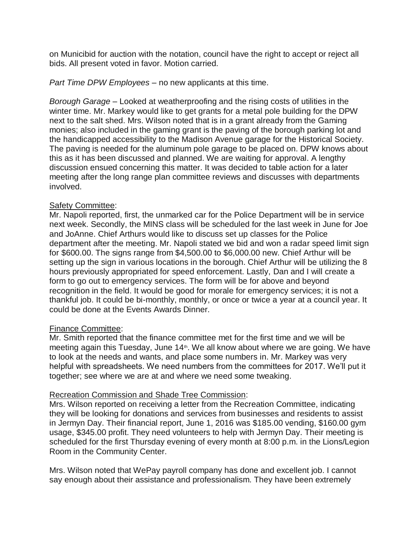on Municibid for auction with the notation, council have the right to accept or reject all bids. All present voted in favor. Motion carried.

*Part Time DPW Employees* – no new applicants at this time.

*Borough Garage* – Looked at weatherproofing and the rising costs of utilities in the winter time. Mr. Markey would like to get grants for a metal pole building for the DPW next to the salt shed. Mrs. Wilson noted that is in a grant already from the Gaming monies; also included in the gaming grant is the paving of the borough parking lot and the handicapped accessibility to the Madison Avenue garage for the Historical Society. The paving is needed for the aluminum pole garage to be placed on. DPW knows about this as it has been discussed and planned. We are waiting for approval. A lengthy discussion ensued concerning this matter. It was decided to table action for a later meeting after the long range plan committee reviews and discusses with departments involved.

## Safety Committee:

Mr. Napoli reported, first, the unmarked car for the Police Department will be in service next week. Secondly, the MINS class will be scheduled for the last week in June for Joe and JoAnne. Chief Arthurs would like to discuss set up classes for the Police department after the meeting. Mr. Napoli stated we bid and won a radar speed limit sign for \$600.00. The signs range from \$4,500.00 to \$6,000.00 new. Chief Arthur will be setting up the sign in various locations in the borough. Chief Arthur will be utilizing the 8 hours previously appropriated for speed enforcement. Lastly, Dan and I will create a form to go out to emergency services. The form will be for above and beyond recognition in the field. It would be good for morale for emergency services; it is not a thankful job. It could be bi-monthly, monthly, or once or twice a year at a council year. It could be done at the Events Awards Dinner.

### Finance Committee:

Mr. Smith reported that the finance committee met for the first time and we will be meeting again this Tuesday, June  $14<sup>th</sup>$ . We all know about where we are going. We have to look at the needs and wants, and place some numbers in. Mr. Markey was very helpful with spreadsheets. We need numbers from the committees for 2017. We'll put it together; see where we are at and where we need some tweaking.

# Recreation Commission and Shade Tree Commission:

Mrs. Wilson reported on receiving a letter from the Recreation Committee, indicating they will be looking for donations and services from businesses and residents to assist in Jermyn Day. Their financial report, June 1, 2016 was \$185.00 vending, \$160.00 gym usage, \$345.00 profit. They need volunteers to help with Jermyn Day. Their meeting is scheduled for the first Thursday evening of every month at 8:00 p.m. in the Lions/Legion Room in the Community Center.

Mrs. Wilson noted that WePay payroll company has done and excellent job. I cannot say enough about their assistance and professionalism. They have been extremely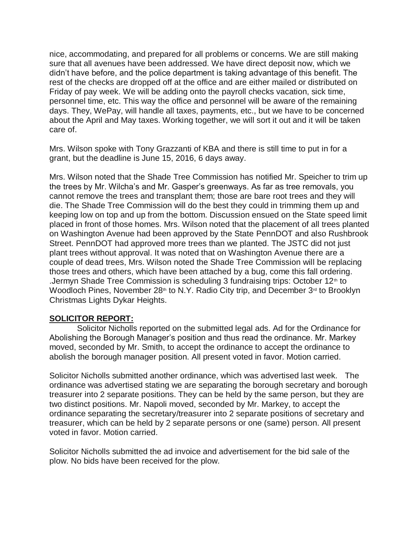nice, accommodating, and prepared for all problems or concerns. We are still making sure that all avenues have been addressed. We have direct deposit now, which we didn't have before, and the police department is taking advantage of this benefit. The rest of the checks are dropped off at the office and are either mailed or distributed on Friday of pay week. We will be adding onto the payroll checks vacation, sick time, personnel time, etc. This way the office and personnel will be aware of the remaining days. They, WePay, will handle all taxes, payments, etc., but we have to be concerned about the April and May taxes. Working together, we will sort it out and it will be taken care of.

Mrs. Wilson spoke with Tony Grazzanti of KBA and there is still time to put in for a grant, but the deadline is June 15, 2016, 6 days away.

Mrs. Wilson noted that the Shade Tree Commission has notified Mr. Speicher to trim up the trees by Mr. Wilcha's and Mr. Gasper's greenways. As far as tree removals, you cannot remove the trees and transplant them; those are bare root trees and they will die. The Shade Tree Commission will do the best they could in trimming them up and keeping low on top and up from the bottom. Discussion ensued on the State speed limit placed in front of those homes. Mrs. Wilson noted that the placement of all trees planted on Washington Avenue had been approved by the State PennDOT and also Rushbrook Street. PennDOT had approved more trees than we planted. The JSTC did not just plant trees without approval. It was noted that on Washington Avenue there are a couple of dead trees, Mrs. Wilson noted the Shade Tree Commission will be replacing those trees and others, which have been attached by a bug, come this fall ordering. .Jermyn Shade Tree Commission is scheduling 3 fundraising trips: October  $12<sup>th</sup>$  to Woodloch Pines, November 28<sup>th</sup> to N.Y. Radio City trip, and December  $3<sup>rd</sup>$  to Brooklyn Christmas Lights Dykar Heights.

### **SOLICITOR REPORT:**

 Solicitor Nicholls reported on the submitted legal ads. Ad for the Ordinance for Abolishing the Borough Manager's position and thus read the ordinance. Mr. Markey moved, seconded by Mr. Smith, to accept the ordinance to accept the ordinance to abolish the borough manager position. All present voted in favor. Motion carried.

Solicitor Nicholls submitted another ordinance, which was advertised last week. The ordinance was advertised stating we are separating the borough secretary and borough treasurer into 2 separate positions. They can be held by the same person, but they are two distinct positions. Mr. Napoli moved, seconded by Mr. Markey, to accept the ordinance separating the secretary/treasurer into 2 separate positions of secretary and treasurer, which can be held by 2 separate persons or one (same) person. All present voted in favor. Motion carried.

Solicitor Nicholls submitted the ad invoice and advertisement for the bid sale of the plow. No bids have been received for the plow.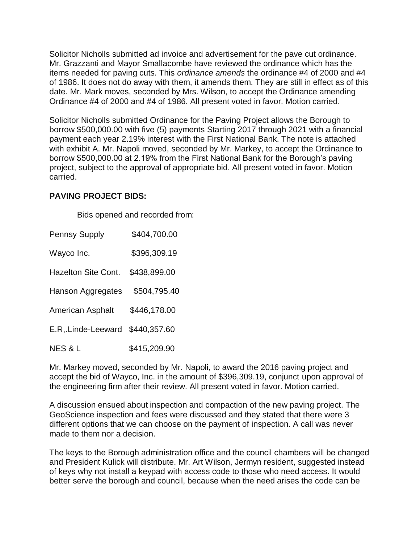Solicitor Nicholls submitted ad invoice and advertisement for the pave cut ordinance. Mr. Grazzanti and Mayor Smallacombe have reviewed the ordinance which has the items needed for paving cuts. This *ordinance amends* the ordinance #4 of 2000 and #4 of 1986. It does not do away with them, it amends them. They are still in effect as of this date. Mr. Mark moves, seconded by Mrs. Wilson, to accept the Ordinance amending Ordinance #4 of 2000 and #4 of 1986. All present voted in favor. Motion carried.

Solicitor Nicholls submitted Ordinance for the Paving Project allows the Borough to borrow \$500,000.00 with five (5) payments Starting 2017 through 2021 with a financial payment each year 2.19% interest with the First National Bank. The note is attached with exhibit A. Mr. Napoli moved, seconded by Mr. Markey, to accept the Ordinance to borrow \$500,000.00 at 2.19% from the First National Bank for the Borough's paving project, subject to the approval of appropriate bid. All present voted in favor. Motion carried.

### **PAVING PROJECT BIDS:**

Bids opened and recorded from:

Pennsy Supply \$404,700.00 Wayco Inc. \$396,309.19 Hazelton Site Cont. \$438,899.00 Hanson Aggregates \$504,795.40 American Asphalt \$446,178.00 E.R,.Linde-Leeward \$440,357.60 NES & L \$415,209.90

Mr. Markey moved, seconded by Mr. Napoli, to award the 2016 paving project and accept the bid of Wayco, Inc. in the amount of \$396,309.19, conjunct upon approval of the engineering firm after their review. All present voted in favor. Motion carried.

A discussion ensued about inspection and compaction of the new paving project. The GeoScience inspection and fees were discussed and they stated that there were 3 different options that we can choose on the payment of inspection. A call was never made to them nor a decision.

The keys to the Borough administration office and the council chambers will be changed and President Kulick will distribute. Mr. Art Wilson, Jermyn resident, suggested instead of keys why not install a keypad with access code to those who need access. It would better serve the borough and council, because when the need arises the code can be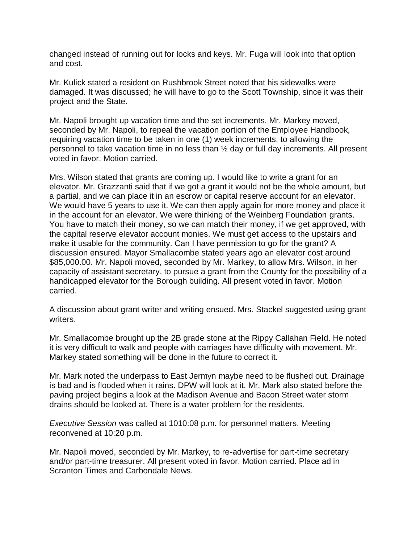changed instead of running out for locks and keys. Mr. Fuga will look into that option and cost.

Mr. Kulick stated a resident on Rushbrook Street noted that his sidewalks were damaged. It was discussed; he will have to go to the Scott Township, since it was their project and the State.

Mr. Napoli brought up vacation time and the set increments. Mr. Markey moved, seconded by Mr. Napoli, to repeal the vacation portion of the Employee Handbook, requiring vacation time to be taken in one (1) week increments, to allowing the personnel to take vacation time in no less than ½ day or full day increments. All present voted in favor. Motion carried.

Mrs. Wilson stated that grants are coming up. I would like to write a grant for an elevator. Mr. Grazzanti said that if we got a grant it would not be the whole amount, but a partial, and we can place it in an escrow or capital reserve account for an elevator. We would have 5 years to use it. We can then apply again for more money and place it in the account for an elevator. We were thinking of the Weinberg Foundation grants. You have to match their money, so we can match their money, if we get approved, with the capital reserve elevator account monies. We must get access to the upstairs and make it usable for the community. Can I have permission to go for the grant? A discussion ensured. Mayor Smallacombe stated years ago an elevator cost around \$85,000.00. Mr. Napoli moved, seconded by Mr. Markey, to allow Mrs. Wilson, in her capacity of assistant secretary, to pursue a grant from the County for the possibility of a handicapped elevator for the Borough building. All present voted in favor. Motion carried.

A discussion about grant writer and writing ensued. Mrs. Stackel suggested using grant writers.

Mr. Smallacombe brought up the 2B grade stone at the Rippy Callahan Field. He noted it is very difficult to walk and people with carriages have difficulty with movement. Mr. Markey stated something will be done in the future to correct it.

Mr. Mark noted the underpass to East Jermyn maybe need to be flushed out. Drainage is bad and is flooded when it rains. DPW will look at it. Mr. Mark also stated before the paving project begins a look at the Madison Avenue and Bacon Street water storm drains should be looked at. There is a water problem for the residents.

*Executive Session* was called at 1010:08 p.m. for personnel matters. Meeting reconvened at 10:20 p.m.

Mr. Napoli moved, seconded by Mr. Markey, to re-advertise for part-time secretary and/or part-time treasurer. All present voted in favor. Motion carried. Place ad in Scranton Times and Carbondale News.